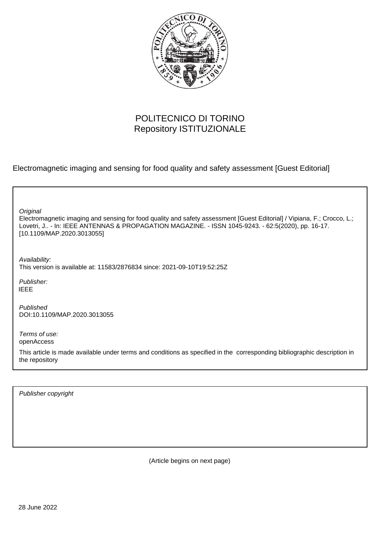

## POLITECNICO DI TORINO Repository ISTITUZIONALE

Electromagnetic imaging and sensing for food quality and safety assessment [Guest Editorial]

| Original<br>Electromagnetic imaging and sensing for food quality and safety assessment [Guest Editorial] / Vipiana, F.; Crocco, L.;<br>Lovetri, J - In: IEEE ANTENNAS & PROPAGATION MAGAZINE. - ISSN 1045-9243. - 62:5(2020), pp. 16-17.<br>[10.1109/MAP.2020.3013055] |
|------------------------------------------------------------------------------------------------------------------------------------------------------------------------------------------------------------------------------------------------------------------------|
| Availability:<br>This version is available at: 11583/2876834 since: 2021-09-10T19:52:25Z                                                                                                                                                                               |
| Publisher:<br><b>IEEE</b>                                                                                                                                                                                                                                              |
| Published<br>DOI:10.1109/MAP.2020.3013055                                                                                                                                                                                                                              |
| Terms of use:<br>openAccess                                                                                                                                                                                                                                            |
| This article is made available under terms and conditions as specified in the corresponding bibliographic description in<br>the repository                                                                                                                             |
|                                                                                                                                                                                                                                                                        |

Publisher copyright

(Article begins on next page)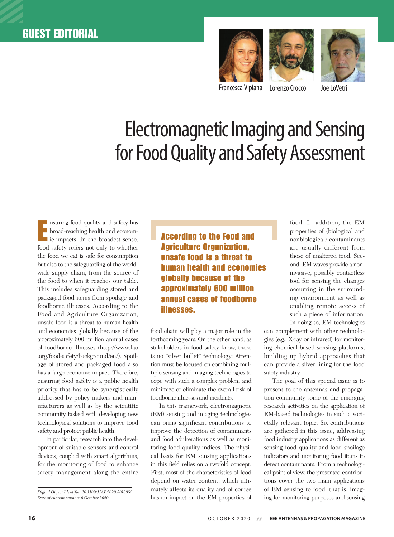





Francesca Vipiana Lorenzo Crocco Joe LoVetri

## Electromagnetic Imaging and Sensing for Food Quality and Safety Assessment

Insuring food quality and safety has<br>broad-reaching health and economic impacts. In the broadest sense, nsuring food quality and safety has broad-reaching health and economfood safety refers not only to whether the food we eat is safe for consumption but also to the safeguarding of the worldwide supply chain, from the source of the food to when it reaches our table. This includes safeguarding stored and packaged food items from spoilage and foodborne illnesses. According to the Food and Agriculture Organization, unsafe food is a threat to human health and economies globally because of the approximately 600 million annual cases of foodborne illnesses (http://www.fao .org/food-safety/background/en/). Spoilage of stored and packaged food also has a large economic impact. Therefore, ensuring food safety is a public health priority that has to be synergistically addressed by policy makers and manufacturers as well as by the scientific community tasked with developing new technological solutions to improve food safety and protect public health.

In particular, research into the development of suitable sensors and control devices, coupled with smart algorithms, for the monitoring of food to enhance safety management along the entire

According to the Food and Agriculture Organization, unsafe food is a threat to human health and economies globally because of the approximately 600 million annual cases of foodborne illnesses.

food chain will play a major role in the forthcoming years. On the other hand, as stakeholders in food safety know, there is no "silver bullet" technology: Attention must be focused on combining multiple sensing and imaging technologies to cope with such a complex problem and minimize or eliminate the overall risk of foodborne illnesses and incidents.

In this framework, electromagnetic (EM) sensing and imaging technologies can bring significant contributions to improve the detection of contaminants and food adulterations as well as monitoring food quality indices. The physical basis for EM sensing applications in this field relies on a twofold concept. First, most of the characteristics of food depend on water content, which ultimately affects its quality and of course has an impact on the EM properties of food. In addition, the EM properties of (biological and nonbiological) contaminants are usually different from those of unaltered food. Second, EM waves provide a noninvasive, possibly contactless tool for sensing the changes occurring in the surrounding environment as well as enabling remote access of such a piece of information. In doing so, EM technologies

can complement with other technologies (e.g., X-ray or infrared) for monitoring chemical-based sensing platforms, building up hybrid approaches that can provide a silver lining for the food safety industry.

The goal of this special issue is to present to the antennas and propagation community some of the emerging research activities on the application of EM-based technologies in such a societally relevant topic. Six contributions are gathered in this issue, addressing food industry applications as different as sensing food quality and food spoilage indicators and monitoring food items to detect contaminants. From a technological point of view, the presented contributions cover the two main applications of EM sensing to food, that is, imaging for monitoring purposes and sensing

*Digital Object Identifier 10.1109/MAP.2020.3013055 Date of current version: 6 October 2020*